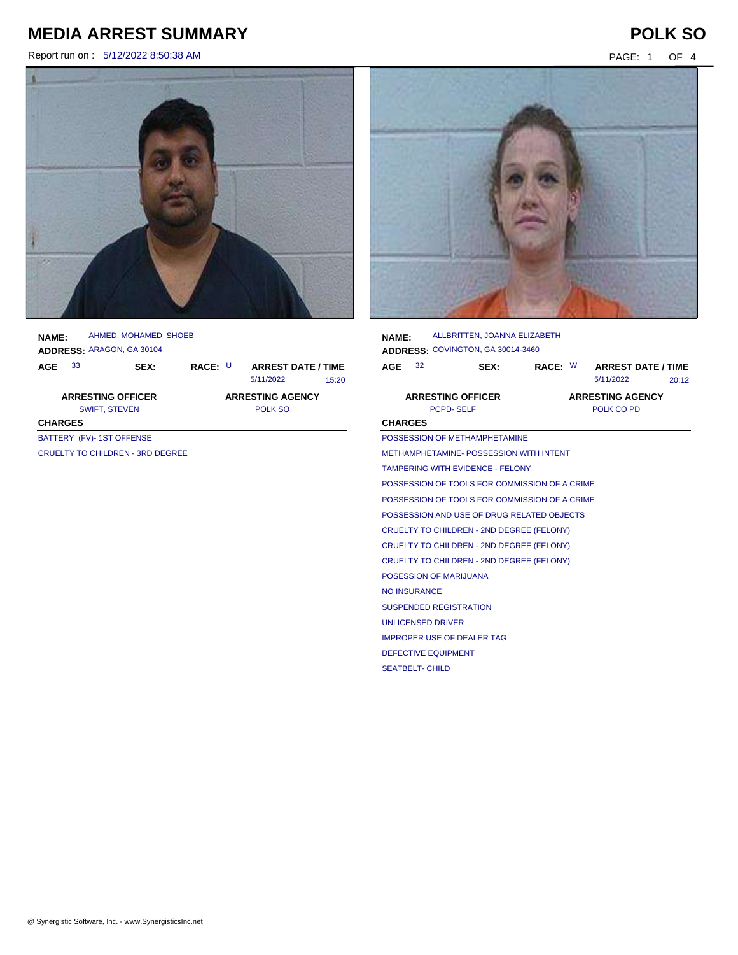Report run on : 5/12/2022 8:50:38 AM PAGE: 1 OF 4



| <b>NAME:</b>   | AHMED, MOHAMED SHOEB<br>ADDRESS: ARAGON, GA 30104 |       |                           |
|----------------|---------------------------------------------------|-------|---------------------------|
| 33<br>AGE      | SEX:                                              | RACE: | <b>ARREST DATE / TIME</b> |
|                |                                                   |       | 5/11/2022<br>15:20        |
|                | <b>ARRESTING OFFICER</b>                          |       | <b>ARRESTING AGENCY</b>   |
|                | <b>SWIFT, STEVEN</b>                              |       | POLK SO                   |
| <b>CHARGES</b> |                                                   |       |                           |
|                | BATTERY (FV)-1ST OFFENSE                          |       |                           |
|                | CRUELTY TO CHILDREN - 3RD DEGREE                  |       |                           |
|                |                                                   |       |                           |
|                |                                                   |       |                           |

| <b>NAME:</b>   |                        | ALLBRITTEN, JOANNA ELIZABETH                  |  |                            |       |
|----------------|------------------------|-----------------------------------------------|--|----------------------------|-------|
|                |                        | ADDRESS: COVINGTON, GA 30014-3460             |  |                            |       |
| <b>AGE</b>     | 32                     | SEX:                                          |  | RACE: W ARREST DATE / TIME |       |
|                |                        |                                               |  | 5/11/2022                  | 20:12 |
|                |                        | <b>ARRESTING OFFICER</b>                      |  | <b>ARRESTING AGENCY</b>    |       |
|                |                        | PCPD-SELF                                     |  | POLK CO PD                 |       |
| <b>CHARGES</b> |                        |                                               |  |                            |       |
|                |                        | POSSESSION OF METHAMPHETAMINE                 |  |                            |       |
|                |                        | METHAMPHETAMINE- POSSESSION WITH INTENT       |  |                            |       |
|                |                        | <b>TAMPERING WITH EVIDENCE - FELONY</b>       |  |                            |       |
|                |                        | POSSESSION OF TOOLS FOR COMMISSION OF A CRIME |  |                            |       |
|                |                        | POSSESSION OF TOOLS FOR COMMISSION OF A CRIME |  |                            |       |
|                |                        | POSSESSION AND USE OF DRUG RELATED OBJECTS    |  |                            |       |
|                |                        | CRUELTY TO CHILDREN - 2ND DEGREE (FELONY)     |  |                            |       |
|                |                        | CRUELTY TO CHILDREN - 2ND DEGREE (FELONY)     |  |                            |       |
|                |                        | CRUELTY TO CHILDREN - 2ND DEGREE (FELONY)     |  |                            |       |
|                |                        | POSESSION OF MARIJUANA                        |  |                            |       |
|                | <b>NO INSURANCE</b>    |                                               |  |                            |       |
|                |                        | <b>SUSPENDED REGISTRATION</b>                 |  |                            |       |
|                |                        | <b>UNLICENSED DRIVER</b>                      |  |                            |       |
|                |                        | <b>IMPROPER USE OF DEALER TAG</b>             |  |                            |       |
|                |                        | <b>DEFECTIVE EQUIPMENT</b>                    |  |                            |       |
|                | <b>SEATBELT- CHILD</b> |                                               |  |                            |       |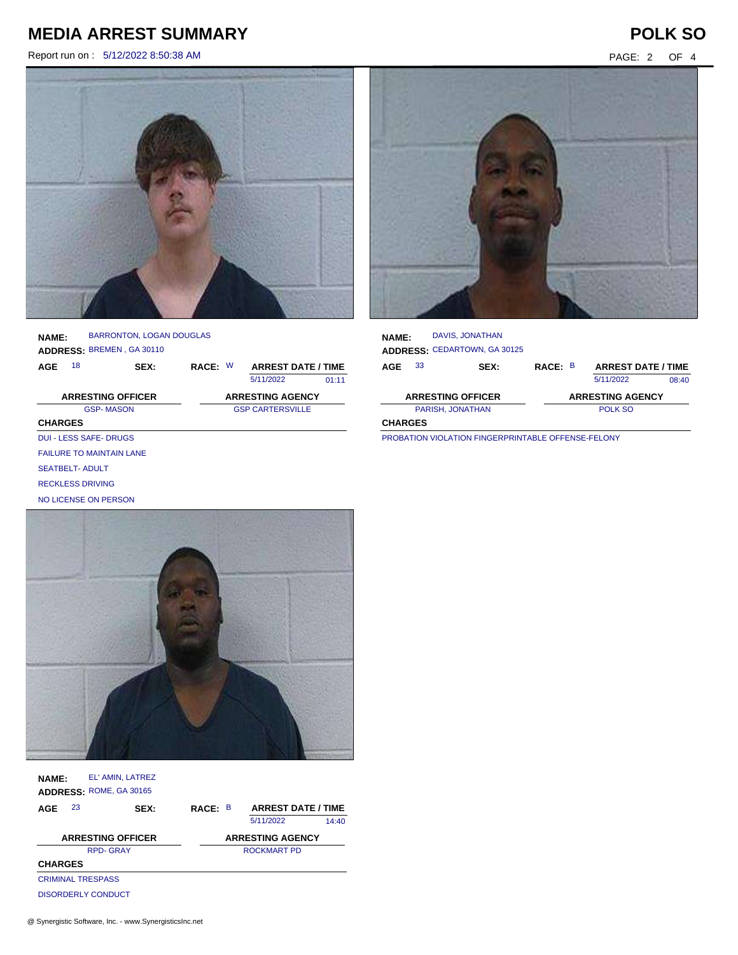Report run on : 5/12/2022 8:50:38 AM PAGE: 2 OF 4





**NAME: ADDRESS:** BREMEN , GA 30110 BARRONTON, LOGAN DOUGLAS

SEATBELT- ADULT RECKLESS DRIVING NO LICENSE ON PERSON

**AGE** W 18 **SEX: RACE: ARREST DATE / TIME** 5/11/2022 01:11 GSP- MASON GSP CARTERSVILLE **CHARGES ARRESTING OFFICER ARRESTING AGENCY** DUI - LESS SAFE- DRUGS FAILURE TO MAINTAIN LANE



| <b>NAME:</b>                                                    |    | <b>DAVIS, JONATHAN</b><br><b>ADDRESS: CEDARTOWN, GA 30125</b> |         |  |                           |       |  |
|-----------------------------------------------------------------|----|---------------------------------------------------------------|---------|--|---------------------------|-------|--|
| AGE                                                             | 33 | SEX:                                                          | RACE: B |  | <b>ARREST DATE / TIME</b> |       |  |
|                                                                 |    |                                                               |         |  | 5/11/2022                 | 08:40 |  |
|                                                                 |    | <b>ARRESTING OFFICER</b>                                      |         |  | <b>ARRESTING AGENCY</b>   |       |  |
| PARISH, JONATHAN                                                |    |                                                               |         |  | POLK SO                   |       |  |
| <b>CHARGES</b>                                                  |    |                                                               |         |  |                           |       |  |
| <b>DOOD ATION NIOL ATION FINIOFDODULTADLE OFFENIOE FELONING</b> |    |                                                               |         |  |                           |       |  |

PROBATION VIOLATION FINGERPRINTABLE OFFENSE-FELONY

| <b>NAME:</b>             | EL' AMIN, LATREZ<br>ADDRESS: ROME, GA 30165 |      |         |                           |       |
|--------------------------|---------------------------------------------|------|---------|---------------------------|-------|
| 23<br>AGE                |                                             | SEX: | RACE: B | <b>ARREST DATE / TIME</b> |       |
|                          |                                             |      |         | 5/11/2022                 | 14:40 |
| <b>ARRESTING OFFICER</b> |                                             |      |         | <b>ARRESTING AGENCY</b>   |       |
| <b>RPD-GRAY</b>          |                                             |      |         | ROCKMART PD               |       |
| <b>CHARGES</b>           |                                             |      |         |                           |       |
|                          | <b>CRIMINAL TRESPASS</b>                    |      |         |                           |       |
|                          | DISORDERLY CONDUCT                          |      |         |                           |       |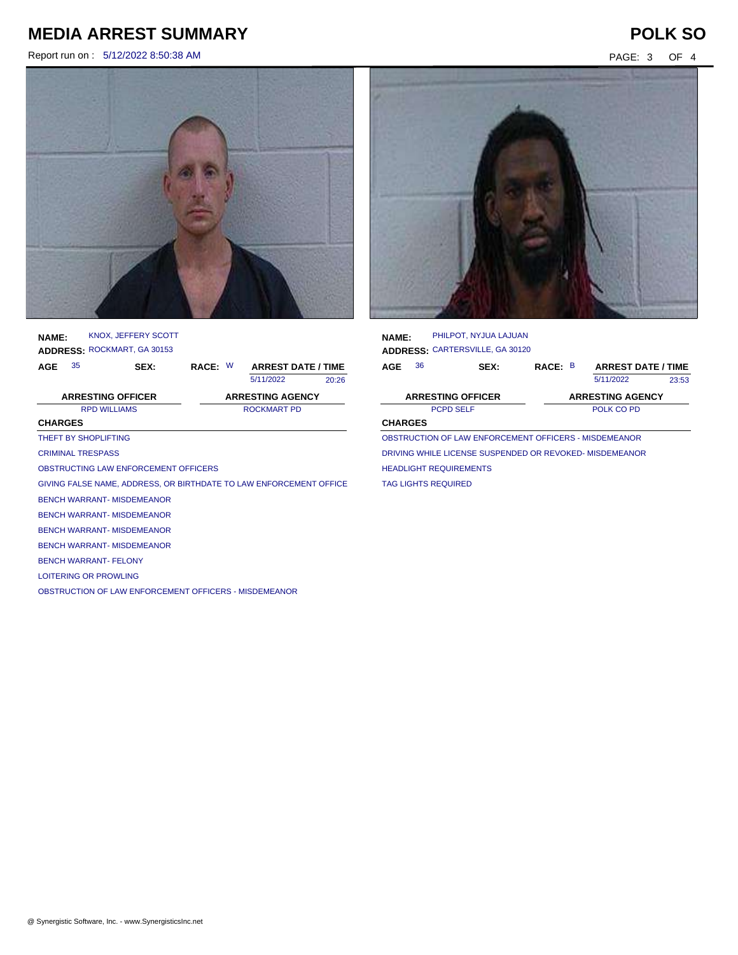Report run on : 5/12/2022 8:50:38 AM PAGE: 3 OF 4



**NAME: ADDRESS:** ROCKMART, GA 30153 KNOX, JEFFERY SCOTT

| AGE            | 35                                                                 | SFX                                                   | RACE: W |  | <b>ARREST DATE / TIME</b> |       |  |
|----------------|--------------------------------------------------------------------|-------------------------------------------------------|---------|--|---------------------------|-------|--|
|                |                                                                    |                                                       |         |  | 5/11/2022                 | 20:26 |  |
|                | <b>ARRESTING OFFICER</b>                                           |                                                       |         |  | <b>ARRESTING AGENCY</b>   |       |  |
|                | <b>RPD WILLIAMS</b>                                                |                                                       |         |  | <b>ROCKMART PD</b>        |       |  |
| <b>CHARGES</b> |                                                                    |                                                       |         |  |                           |       |  |
|                | THEFT BY SHOPLIFTING                                               |                                                       |         |  |                           |       |  |
|                | <b>CRIMINAL TRESPASS</b>                                           |                                                       |         |  |                           |       |  |
|                |                                                                    | OBSTRUCTING LAW ENFORCEMENT OFFICERS                  |         |  |                           |       |  |
|                | GIVING FALSE NAME, ADDRESS, OR BIRTHDATE TO LAW ENFORCEMENT OFFICE |                                                       |         |  |                           |       |  |
|                |                                                                    | <b>BENCH WARRANT-MISDEMEANOR</b>                      |         |  |                           |       |  |
|                |                                                                    | <b>BENCH WARRANT-MISDEMEANOR</b>                      |         |  |                           |       |  |
|                |                                                                    | <b>BENCH WARRANT-MISDEMEANOR</b>                      |         |  |                           |       |  |
|                |                                                                    | <b>BENCH WARRANT-MISDEMEANOR</b>                      |         |  |                           |       |  |
|                | <b>BENCH WARRANT- FFI ONY</b>                                      |                                                       |         |  |                           |       |  |
|                | <b>LOITERING OR PROWLING</b>                                       |                                                       |         |  |                           |       |  |
|                |                                                                    | OBSTRUCTION OF LAW ENFORCEMENT OFFICERS - MISDEMEANOR |         |  |                           |       |  |



| <b>NAME:</b>                                            |    | PHILPOT. NYJUA LAJUAN<br>ADDRESS: CARTERSVILLE, GA 30120 |                         |  |                           |       |
|---------------------------------------------------------|----|----------------------------------------------------------|-------------------------|--|---------------------------|-------|
| AGE                                                     | 36 | SEX:                                                     | RACE: B                 |  | <b>ARREST DATE / TIME</b> |       |
|                                                         |    |                                                          |                         |  | 5/11/2022                 | 23:53 |
|                                                         |    | <b>ARRESTING OFFICER</b>                                 | <b>ARRESTING AGENCY</b> |  |                           |       |
| <b>PCPD SELF</b>                                        |    |                                                          | POLK CO PD              |  |                           |       |
| <b>CHARGES</b>                                          |    |                                                          |                         |  |                           |       |
| OBSTRUCTION OF LAW ENFORCEMENT OFFICERS - MISDEMEANOR   |    |                                                          |                         |  |                           |       |
| DRIVING WHILE LICENSE SUSPENDED OR REVOKED- MISDEMEANOR |    |                                                          |                         |  |                           |       |
| <b>HEADLIGHT REQUIREMENTS</b>                           |    |                                                          |                         |  |                           |       |

TAG LIGHTS REQUIRED